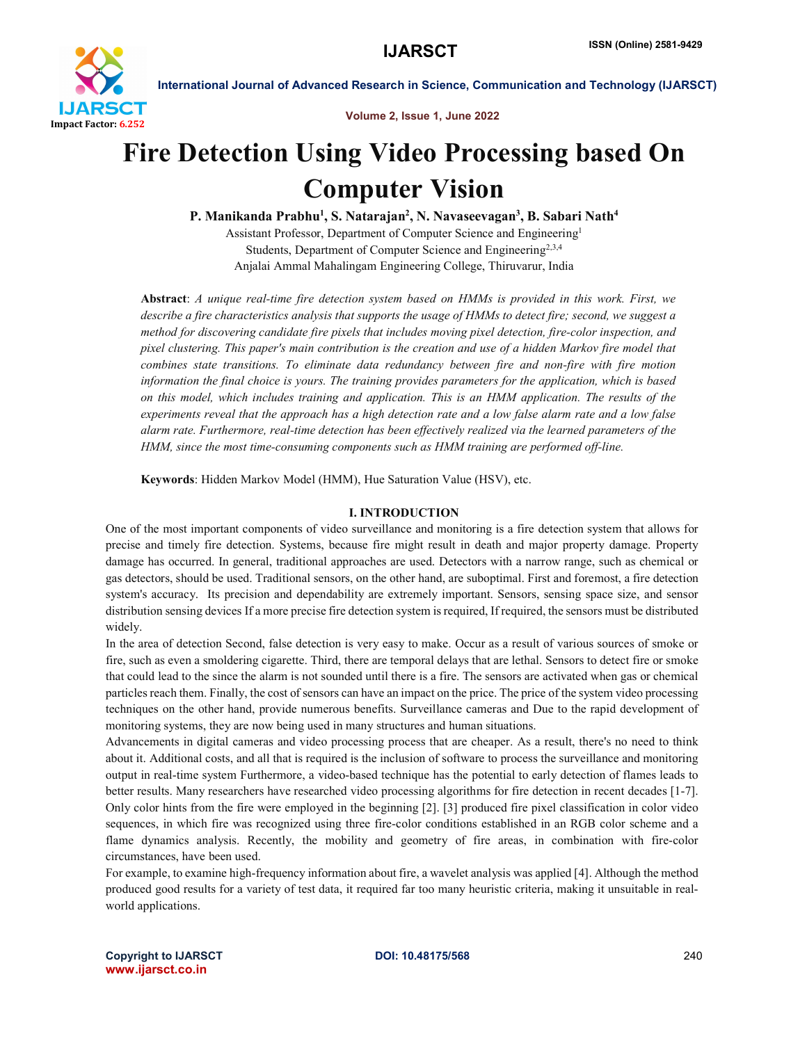

Volume 2, Issue 1, June 2022

# Fire Detection Using Video Processing based On Computer Vision

P. Manikanda Prabhu<sup>1</sup>, S. Natarajan<sup>2</sup>, N. Navaseevagan<sup>3</sup>, B. Sabari Nath<sup>4</sup>

Assistant Professor, Department of Computer Science and Engineering1 Students, Department of Computer Science and Engineering2,3,4 Anjalai Ammal Mahalingam Engineering College, Thiruvarur, India

Abstract: *A unique real-time fire detection system based on HMMs is provided in this work. First, we describe a fire characteristics analysis that supports the usage of HMMs to detect fire; second, we suggest a method for discovering candidate fire pixels that includes moving pixel detection, fire-color inspection, and pixel clustering. This paper's main contribution is the creation and use of a hidden Markov fire model that combines state transitions. To eliminate data redundancy between fire and non-fire with fire motion information the final choice is yours. The training provides parameters for the application, which is based on this model, which includes training and application. This is an HMM application. The results of the experiments reveal that the approach has a high detection rate and a low false alarm rate and a low false alarm rate. Furthermore, real-time detection has been effectively realized via the learned parameters of the HMM, since the most time-consuming components such as HMM training are performed off-line.*

Keywords: Hidden Markov Model (HMM), Hue Saturation Value (HSV), etc.

# I. INTRODUCTION

One of the most important components of video surveillance and monitoring is a fire detection system that allows for precise and timely fire detection. Systems, because fire might result in death and major property damage. Property damage has occurred. In general, traditional approaches are used. Detectors with a narrow range, such as chemical or gas detectors, should be used. Traditional sensors, on the other hand, are suboptimal. First and foremost, a fire detection system's accuracy. Its precision and dependability are extremely important. Sensors, sensing space size, and sensor distribution sensing devices If a more precise fire detection system is required, If required, the sensors must be distributed widely.

In the area of detection Second, false detection is very easy to make. Occur as a result of various sources of smoke or fire, such as even a smoldering cigarette. Third, there are temporal delays that are lethal. Sensors to detect fire or smoke that could lead to the since the alarm is not sounded until there is a fire. The sensors are activated when gas or chemical particles reach them. Finally, the cost of sensors can have an impact on the price. The price of the system video processing techniques on the other hand, provide numerous benefits. Surveillance cameras and Due to the rapid development of monitoring systems, they are now being used in many structures and human situations.

Advancements in digital cameras and video processing process that are cheaper. As a result, there's no need to think about it. Additional costs, and all that is required is the inclusion of software to process the surveillance and monitoring output in real-time system Furthermore, a video-based technique has the potential to early detection of flames leads to better results. Many researchers have researched video processing algorithms for fire detection in recent decades [1-7]. Only color hints from the fire were employed in the beginning [2]. [3] produced fire pixel classification in color video sequences, in which fire was recognized using three fire-color conditions established in an RGB color scheme and a flame dynamics analysis. Recently, the mobility and geometry of fire areas, in combination with fire-color circumstances, have been used.

For example, to examine high-frequency information about fire, a wavelet analysis was applied [4]. Although the method produced good results for a variety of test data, it required far too many heuristic criteria, making it unsuitable in realworld applications.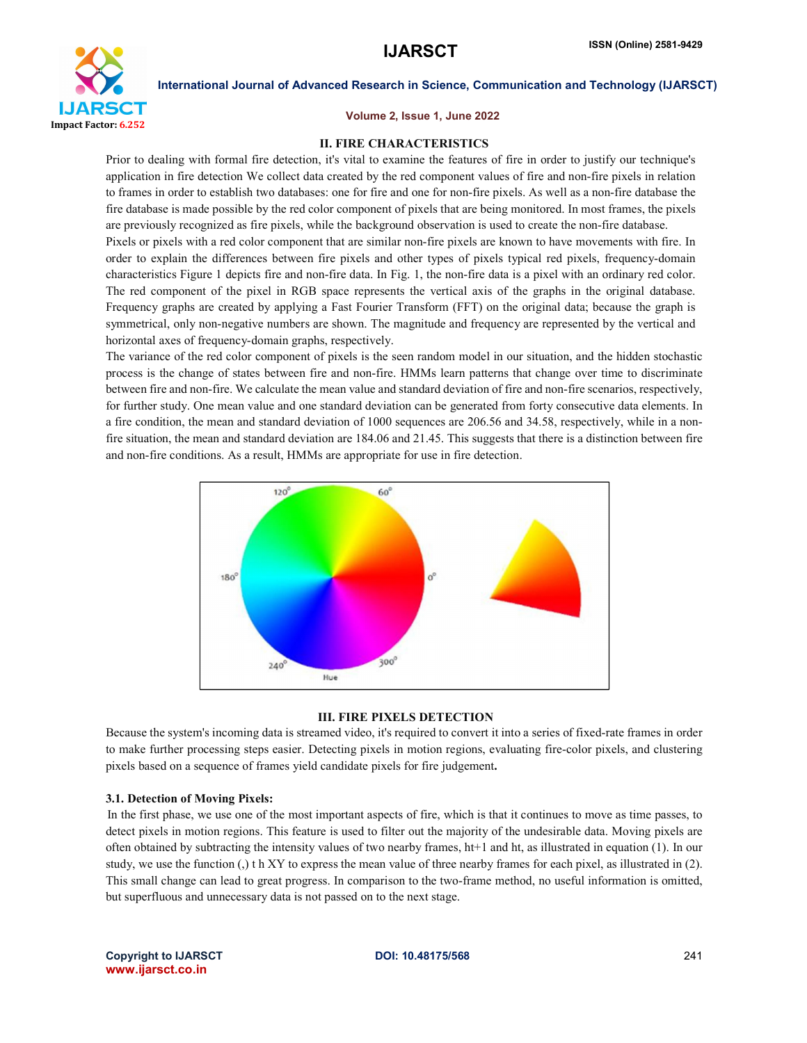

### Volume 2, Issue 1, June 2022

### II. FIRE CHARACTERISTICS

Prior to dealing with formal fire detection, it's vital to examine the features of fire in order to justify our technique's application in fire detection We collect data created by the red component values of fire and non-fire pixels in relation to frames in order to establish two databases: one for fire and one for non-fire pixels. As well as a non-fire database the fire database is made possible by the red color component of pixels that are being monitored. In most frames, the pixels are previously recognized as fire pixels, while the background observation is used to create the non-fire database. Pixels or pixels with a red color component that are similar non-fire pixels are known to have movements with fire. In order to explain the differences between fire pixels and other types of pixels typical red pixels, frequency-domain characteristics Figure 1 depicts fire and non-fire data. In Fig. 1, the non-fire data is a pixel with an ordinary red color. The red component of the pixel in RGB space represents the vertical axis of the graphs in the original database. Frequency graphs are created by applying a Fast Fourier Transform (FFT) on the original data; because the graph is symmetrical, only non-negative numbers are shown. The magnitude and frequency are represented by the vertical and horizontal axes of frequency-domain graphs, respectively.

The variance of the red color component of pixels is the seen random model in our situation, and the hidden stochastic process is the change of states between fire and non-fire. HMMs learn patterns that change over time to discriminate between fire and non-fire. We calculate the mean value and standard deviation of fire and non-fire scenarios, respectively, for further study. One mean value and one standard deviation can be generated from forty consecutive data elements. In a fire condition, the mean and standard deviation of 1000 sequences are 206.56 and 34.58, respectively, while in a nonfire situation, the mean and standard deviation are 184.06 and 21.45. This suggests that there is a distinction between fire and non-fire conditions. As a result, HMMs are appropriate for use in fire detection.



# III. FIRE PIXELS DETECTION

Because the system's incoming data is streamed video, it's required to convert it into a series of fixed-rate frames in order to make further processing steps easier. Detecting pixels in motion regions, evaluating fire-color pixels, and clustering pixels based on a sequence of frames yield candidate pixels for fire judgement.

# 3.1. Detection of Moving Pixels:

In the first phase, we use one of the most important aspects of fire, which is that it continues to move as time passes, to detect pixels in motion regions. This feature is used to filter out the majority of the undesirable data. Moving pixels are often obtained by subtracting the intensity values of two nearby frames, ht+1 and ht, as illustrated in equation (1). In our study, we use the function (,) t h XY to express the mean value of three nearby frames for each pixel, as illustrated in (2). This small change can lead to great progress. In comparison to the two-frame method, no useful information is omitted, but superfluous and unnecessary data is not passed on to the next stage.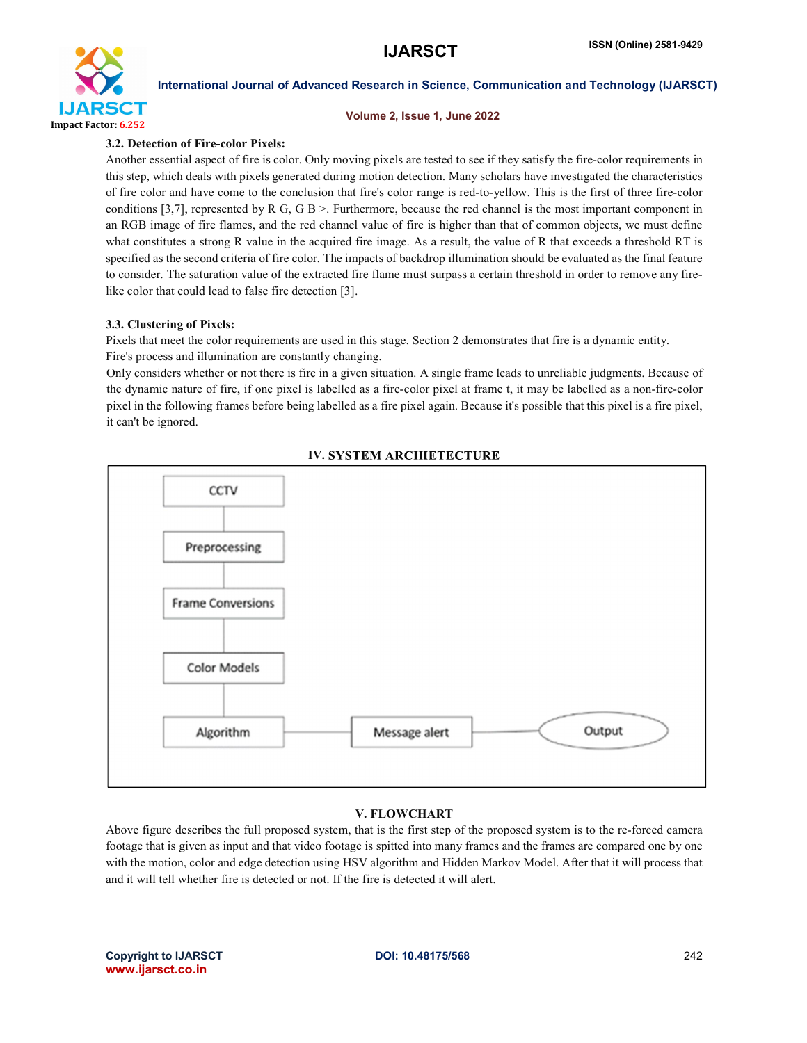

#### Volume 2, Issue 1, June 2022

# 3.2. Detection of Fire-color Pixels:

Another essential aspect of fire is color. Only moving pixels are tested to see if they satisfy the fire-color requirements in this step, which deals with pixels generated during motion detection. Many scholars have investigated the characteristics of fire color and have come to the conclusion that fire's color range is red-to-yellow. This is the first of three fire-color conditions [3,7], represented by R G, G B >. Furthermore, because the red channel is the most important component in an RGB image of fire flames, and the red channel value of fire is higher than that of common objects, we must define what constitutes a strong R value in the acquired fire image. As a result, the value of R that exceeds a threshold RT is specified as the second criteria of fire color. The impacts of backdrop illumination should be evaluated as the final feature to consider. The saturation value of the extracted fire flame must surpass a certain threshold in order to remove any firelike color that could lead to false fire detection [3].

# 3.3. Clustering of Pixels:

Pixels that meet the color requirements are used in this stage. Section 2 demonstrates that fire is a dynamic entity. Fire's process and illumination are constantly changing.

Only considers whether or not there is fire in a given situation. A single frame leads to unreliable judgments. Because of the dynamic nature of fire, if one pixel is labelled as a fire-color pixel at frame t, it may be labelled as a non-fire-color pixel in the following frames before being labelled as a fire pixel again. Because it's possible that this pixel is a fire pixel, it can't be ignored.



# **IV. SYSTEM ARCHIETECTURE**

# V. FLOWCHART

Above figure describes the full proposed system, that is the first step of the proposed system is to the re-forced camera footage that is given as input and that video footage is spitted into many frames and the frames are compared one by one with the motion, color and edge detection using HSV algorithm and Hidden Markov Model. After that it will process that and it will tell whether fire is detected or not. If the fire is detected it will alert.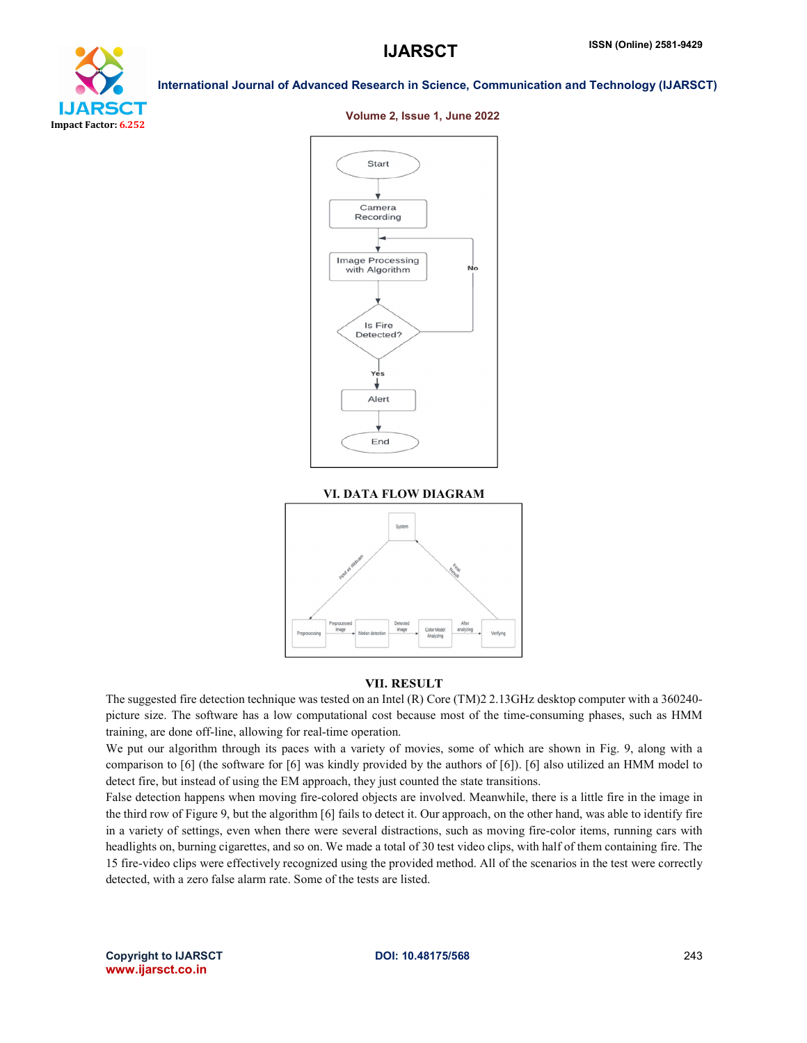

### Volume 2, Issue 1, June 2022



#### VI. DATA FLOW DIAGRAM



# **VII. RESULT**

The suggested fire detection technique was tested on an Intel (R) Core (TM)2 2.13GHz desktop computer with a 360240 picture size. The software has a low computational cost because most of the time-consuming phases, such as HMM training, are done off-line, allowing for real-time operation.

We put our algorithm through its paces with a variety of movies, some of which are shown in Fig. 9, along with a comparison to [6] (the software for [6] was kindly provided by the authors of [6]). [6] also utilized an HMM model to detect fire, but instead of using the EM approach, they just counted the state transitions.

False detection happens when moving fire-colored objects are involved. Meanwhile, there is a little fire in the image in the third row of Figure 9, but the algorithm [6] fails to detect it. Our approach, on the other hand, was able to identify fire in a variety of settings, even when there were several distractions, such as moving fire-color items, running cars with headlights on, burning cigarettes, and so on. We made a total of 30 test video clips, with half of them containing fire. The 15 fire-video clips were effectively recognized using the provided method. All of the scenarios in the test were correctly detected, with a zero false alarm rate. Some of the tests are listed.